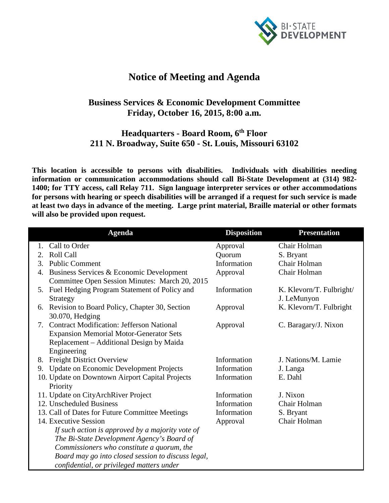

## **Notice of Meeting and Agenda**

## **Business Services & Economic Development Committee Friday, October 16, 2015, 8:00 a.m.**

## **Headquarters - Board Room, 6th Floor 211 N. Broadway, Suite 650 - St. Louis, Missouri 63102**

**This location is accessible to persons with disabilities. Individuals with disabilities needing information or communication accommodations should call Bi-State Development at (314) 982- 1400; for TTY access, call Relay 711. Sign language interpreter services or other accommodations for persons with hearing or speech disabilities will be arranged if a request for such service is made at least two days in advance of the meeting. Large print material, Braille material or other formats will also be provided upon request.**

| <b>Agenda</b>                                                                                    | <b>Disposition</b> | <b>Presentation</b>      |
|--------------------------------------------------------------------------------------------------|--------------------|--------------------------|
| Call to Order                                                                                    | Approval           | Chair Holman             |
| <b>Roll Call</b><br>2.                                                                           | Quorum             | S. Bryant                |
| <b>Public Comment</b><br>3.                                                                      | Information        | Chair Holman             |
| Business Services & Economic Development<br>4.<br>Committee Open Session Minutes: March 20, 2015 | Approval           | Chair Holman             |
| Fuel Hedging Program Statement of Policy and<br>5.                                               | Information        | K. Klevorn/T. Fulbright/ |
| <b>Strategy</b>                                                                                  |                    | J. LeMunyon              |
| Revision to Board Policy, Chapter 30, Section<br>6.<br>30.070, Hedging                           | Approval           | K. Klevorn/T. Fulbright  |
| <b>Contract Modification: Jefferson National</b><br>7.                                           | Approval           | C. Baragary/J. Nixon     |
| <b>Expansion Memorial Motor-Generator Sets</b>                                                   |                    |                          |
| Replacement – Additional Design by Maida                                                         |                    |                          |
| Engineering                                                                                      |                    |                          |
| <b>Freight District Overview</b><br>8.                                                           | Information        | J. Nations/M. Lamie      |
| <b>Update on Economic Development Projects</b><br>9.                                             | Information        | J. Langa                 |
| 10. Update on Downtown Airport Capital Projects                                                  | Information        | E. Dahl                  |
| Priority                                                                                         |                    |                          |
| 11. Update on CityArchRiver Project                                                              | Information        | J. Nixon                 |
| 12. Unscheduled Business                                                                         | Information        | Chair Holman             |
| 13. Call of Dates for Future Committee Meetings                                                  | Information        | S. Bryant                |
| 14. Executive Session                                                                            | Approval           | Chair Holman             |
| If such action is approved by a majority vote of                                                 |                    |                          |
| The Bi-State Development Agency's Board of                                                       |                    |                          |
| Commissioners who constitute a quorum, the                                                       |                    |                          |
| Board may go into closed session to discuss legal,                                               |                    |                          |
| confidential, or privileged matters under                                                        |                    |                          |